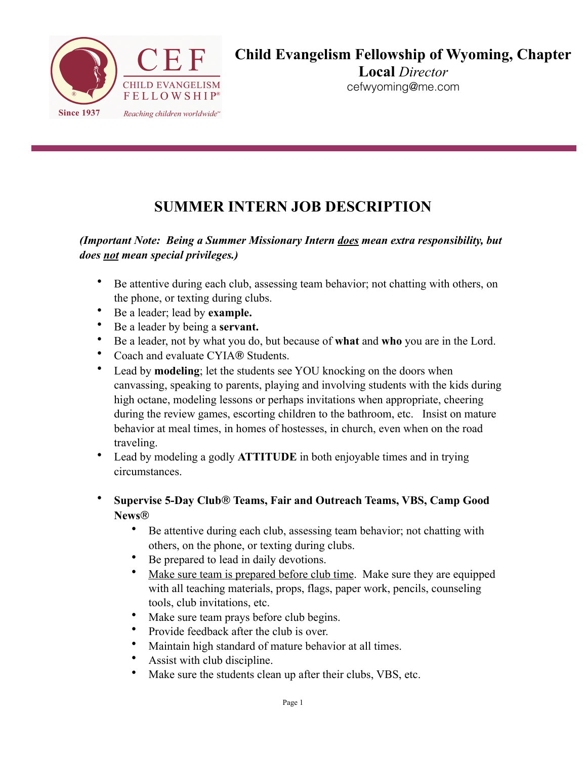

**Local** *Director*  cefwyoming@me.com

## **SUMMER INTERN JOB DESCRIPTION**

### *(Important Note: Being a Summer Missionary Intern does mean extra responsibility, but does not mean special privileges.)*

- Be attentive during each club, assessing team behavior; not chatting with others, on the phone, or texting during clubs.
- Be a leader; lead by **example.**
- Be a leader by being a **servant.**
- Be a leader, not by what you do, but because of **what** and **who** you are in the Lord.
- Coach and evaluate CYIA® Students.
- Lead by **modeling**; let the students see YOU knocking on the doors when canvassing, speaking to parents, playing and involving students with the kids during high octane, modeling lessons or perhaps invitations when appropriate, cheering during the review games, escorting children to the bathroom, etc. Insist on mature behavior at meal times, in homes of hostesses, in church, even when on the road traveling.
- Lead by modeling a godly **ATTITUDE** in both enjoyable times and in trying circumstances.
- **Supervise 5-Day Club**® **Teams, Fair and Outreach Teams, VBS, Camp Good News**®
	- Be attentive during each club, assessing team behavior; not chatting with others, on the phone, or texting during clubs.
	- Be prepared to lead in daily devotions.
	- Make sure team is prepared before club time. Make sure they are equipped with all teaching materials, props, flags, paper work, pencils, counseling tools, club invitations, etc.
	- Make sure team prays before club begins.
	- Provide feedback after the club is over.
	- Maintain high standard of mature behavior at all times.
	- Assist with club discipline.
	- Make sure the students clean up after their clubs, VBS, etc.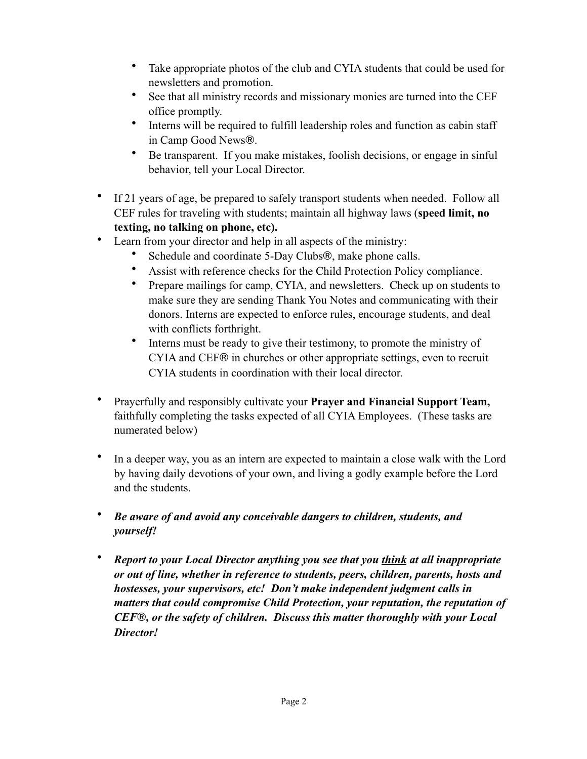- Take appropriate photos of the club and CYIA students that could be used for newsletters and promotion.
- See that all ministry records and missionary monies are turned into the CEF office promptly.
- Interns will be required to fulfill leadership roles and function as cabin staff in Camp Good News®.
- Be transparent. If you make mistakes, foolish decisions, or engage in sinful behavior, tell your Local Director.
- If 21 years of age, be prepared to safely transport students when needed. Follow all CEF rules for traveling with students; maintain all highway laws (**speed limit, no texting, no talking on phone, etc).**
- Learn from your director and help in all aspects of the ministry:
	- Schedule and coordinate 5-Day Clubs®, make phone calls.
	- Assist with reference checks for the Child Protection Policy compliance.
	- Prepare mailings for camp, CYIA, and newsletters. Check up on students to make sure they are sending Thank You Notes and communicating with their donors. Interns are expected to enforce rules, encourage students, and deal with conflicts forthright.
	- Interns must be ready to give their testimony, to promote the ministry of CYIA and CEF® in churches or other appropriate settings, even to recruit CYIA students in coordination with their local director.
- Prayerfully and responsibly cultivate your **Prayer and Financial Support Team,** faithfully completing the tasks expected of all CYIA Employees. (These tasks are numerated below)
- In a deeper way, you as an intern are expected to maintain a close walk with the Lord by having daily devotions of your own, and living a godly example before the Lord and the students.
- *Be aware of and avoid any conceivable dangers to children, students, and yourself!*
- *Report to your Local Director anything you see that you think at all inappropriate or out of line, whether in reference to students, peers, children, parents, hosts and hostesses, your supervisors, etc! Don't make independent judgment calls in matters that could compromise Child Protection, your reputation, the reputation of CEF*®*, or the safety of children. Discuss this matter thoroughly with your Local Director!*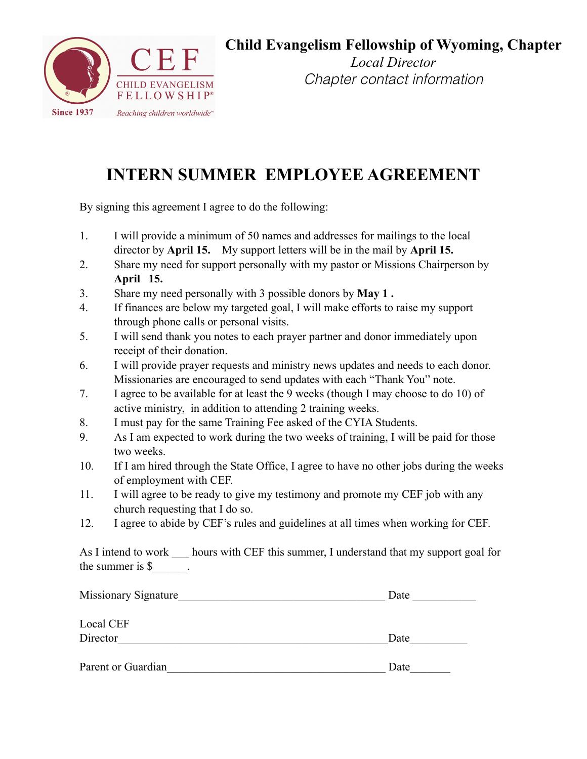

### **Child Evangelism Fellowship of Wyoming, Chapter**

*Local Director Chapter contact information*

# **INTERN SUMMER EMPLOYEE AGREEMENT**

By signing this agreement I agree to do the following:

- 1. I will provide a minimum of 50 names and addresses for mailings to the local director by **April 15.** My support letters will be in the mail by **April 15.**
- 2. Share my need for support personally with my pastor or Missions Chairperson by **April 15.**
- 3. Share my need personally with 3 possible donors by **May 1 .**
- 4. If finances are below my targeted goal, I will make efforts to raise my support through phone calls or personal visits.
- 5. I will send thank you notes to each prayer partner and donor immediately upon receipt of their donation.
- 6. I will provide prayer requests and ministry news updates and needs to each donor. Missionaries are encouraged to send updates with each "Thank You" note.
- 7. I agree to be available for at least the 9 weeks (though I may choose to do 10) of active ministry, in addition to attending 2 training weeks.
- 8. I must pay for the same Training Fee asked of the CYIA Students.
- 9. As I am expected to work during the two weeks of training, I will be paid for those two weeks.
- 10. If I am hired through the State Office, I agree to have no other jobs during the weeks of employment with CEF.
- 11. I will agree to be ready to give my testimony and promote my CEF job with any church requesting that I do so.
- 12. I agree to abide by CEF's rules and guidelines at all times when working for CEF.

As I intend to work hours with CEF this summer, I understand that my support goal for the summer is \$\_\_\_\_\_\_.

| Missionary Signature | Date |
|----------------------|------|
| Local CEF            |      |
| Director             | Date |
| Parent or Guardian   | Date |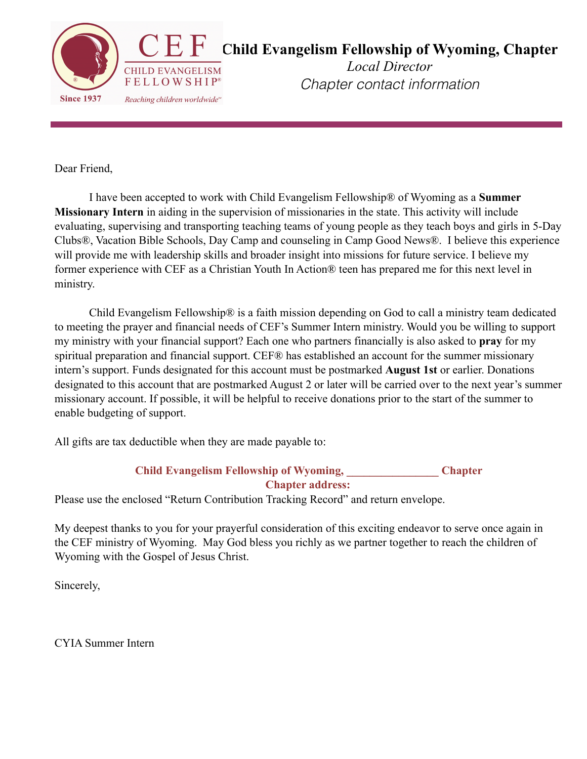

Dear Friend,

 I have been accepted to work with Child Evangelism Fellowship® of Wyoming as a **Summer Missionary Intern** in aiding in the supervision of missionaries in the state. This activity will include evaluating, supervising and transporting teaching teams of young people as they teach boys and girls in 5-Day Clubs®, Vacation Bible Schools, Day Camp and counseling in Camp Good News®. I believe this experience will provide me with leadership skills and broader insight into missions for future service. I believe my former experience with CEF as a Christian Youth In Action® teen has prepared me for this next level in ministry.

 Child Evangelism Fellowship® is a faith mission depending on God to call a ministry team dedicated to meeting the prayer and financial needs of CEF's Summer Intern ministry. Would you be willing to support my ministry with your financial support? Each one who partners financially is also asked to **pray** for my spiritual preparation and financial support. CEF® has established an account for the summer missionary intern's support. Funds designated for this account must be postmarked **August 1st** or earlier. Donations designated to this account that are postmarked August 2 or later will be carried over to the next year's summer missionary account. If possible, it will be helpful to receive donations prior to the start of the summer to enable budgeting of support.

All gifts are tax deductible when they are made payable to:

#### **Child Evangelism Fellowship of Wyoming, \_\_\_\_\_\_\_\_\_\_\_\_\_\_\_\_ Chapter Chapter address:**

Please use the enclosed "Return Contribution Tracking Record" and return envelope.

My deepest thanks to you for your prayerful consideration of this exciting endeavor to serve once again in the CEF ministry of Wyoming. May God bless you richly as we partner together to reach the children of Wyoming with the Gospel of Jesus Christ.

Sincerely,

CYIA Summer Intern